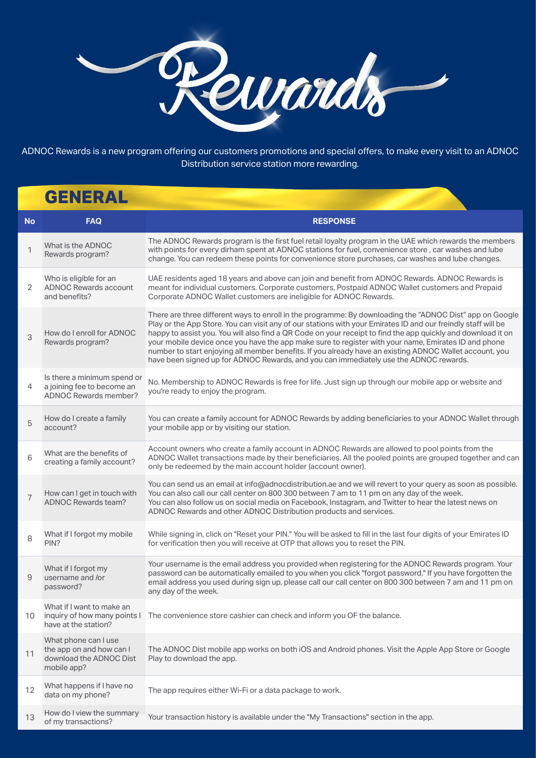

ADNOC Rewards is a new program offering our customers promotions and special offers, to make every visit to an ADNOC Distribution service station more rewarding.

## **GENERAL**

| <b>No</b>      | <b>FAQ</b>                                                                                 | <b>RESPONSE</b>                                                                                                                                                                                                                                                                                                                                                                                                                                                                                                                                                                                                                                       |
|----------------|--------------------------------------------------------------------------------------------|-------------------------------------------------------------------------------------------------------------------------------------------------------------------------------------------------------------------------------------------------------------------------------------------------------------------------------------------------------------------------------------------------------------------------------------------------------------------------------------------------------------------------------------------------------------------------------------------------------------------------------------------------------|
| $\mathbf{1}$   | What is the ADNOC<br>Rewards program?                                                      | The ADNOC Rewards program is the first fuel retail loyalty program in the UAE which rewards the members<br>with points for every dirham spent at ADNOC stations for fuel, convenience store, car washes and lube<br>change. You can redeem these points for convenience store purchases, car washes and lube changes.                                                                                                                                                                                                                                                                                                                                 |
| $\overline{2}$ | Who is eligible for an<br><b>ADNOC Rewards account</b><br>and benefits?                    | UAE residents aged 18 years and above can join and benefit from ADNOC Rewards. ADNOC Rewards is<br>meant for individual customers. Corporate customers, Postpaid ADNOC Wallet customers and Prepaid<br>Corporate ADNOC Wallet customers are ineligible for ADNOC Rewards.                                                                                                                                                                                                                                                                                                                                                                             |
| 3              | How do I enroll for ADNOC<br>Rewards program?                                              | There are three different ways to enroll in the programme: By downloading the "ADNOC Dist" app on Google<br>Play or the App Store. You can visit any of our stations with your Emirates ID and our freindly staff will be<br>happy to assist you. You will also find a QR Code on your receipt to find the app quickly and download it on<br>your mobile device once you have the app make sure to register with your name, Emirates ID and phone<br>number to start enjoying all member benefits. If you already have an existing ADNOC Wallet account, you<br>have been signed up for ADNOC Rewards, and you can immediately use the ADNOC rewards. |
| 4              | Is there a minimum spend or<br>a joining fee to become an<br>ADNOC Rewards member?         | No. Membership to ADNOC Rewards is free for life. Just sign up through our mobile app or website and<br>you're ready to enjoy the program.                                                                                                                                                                                                                                                                                                                                                                                                                                                                                                            |
| 5              | How do I create a family<br>account?                                                       | You can create a family account for ADNOC Rewards by adding beneficiaries to your ADNOC Wallet through<br>your mobile app or by visiting our station.                                                                                                                                                                                                                                                                                                                                                                                                                                                                                                 |
| 6              | What are the benefits of<br>creating a family account?                                     | Account owners who create a family account in ADNOC Rewards are allowed to pool points from the<br>ADNOC Wallet transactions made by their beneficiaries. All the pooled points are grouped together and can<br>only be redeemed by the main account holder (account owner).                                                                                                                                                                                                                                                                                                                                                                          |
| $\overline{7}$ | How can I get in touch with<br><b>ADNOC Rewards team?</b>                                  | You can send us an email at info@adnocdistribution.ae and we will revert to your query as soon as possible.<br>You can also call our call center on 800 300 between 7 am to 11 pm on any day of the week.<br>You can also follow us on social media on Facebook, Instagram, and Twitter to hear the latest news on<br>ADNOC Rewards and other ADNOC Distribution products and services.                                                                                                                                                                                                                                                               |
| 8              | What if I forgot my mobile<br>PIN?                                                         | While signing in, click on "Reset your PIN." You will be asked to fill in the last four digits of your Emirates ID<br>for verification then you will receive at OTP that allows you to reset the PIN.                                                                                                                                                                                                                                                                                                                                                                                                                                                 |
| 9              | What if I forgot my<br>username and /or<br>password?                                       | Your username is the email address you provided when registering for the ADNOC Rewards program. Your<br>password can be automatically emailed to you when you click "forgot password." If you have forgotten the<br>email address you used during sign up, please call our call center on 800 300 between 7 am and 11 pm on<br>any day of the week.                                                                                                                                                                                                                                                                                                   |
|                | What if I want to make an<br>have at the station?                                          | 10 inquiry of how many points I The convenience store cashier can check and inform you OF the balance.                                                                                                                                                                                                                                                                                                                                                                                                                                                                                                                                                |
| 11             | What phone can I use<br>the app on and how can I<br>download the ADNOC Dist<br>mobile app? | The ADNOC Dist mobile app works on both iOS and Android phones. Visit the Apple App Store or Google<br>Play to download the app.                                                                                                                                                                                                                                                                                                                                                                                                                                                                                                                      |
| 12             | What happens if I have no<br>data on my phone?                                             | The app requires either Wi-Fi or a data package to work.                                                                                                                                                                                                                                                                                                                                                                                                                                                                                                                                                                                              |
| 13             | How do I view the summary<br>of my transactions?                                           | Your transaction history is available under the "My Transactions" section in the app.                                                                                                                                                                                                                                                                                                                                                                                                                                                                                                                                                                 |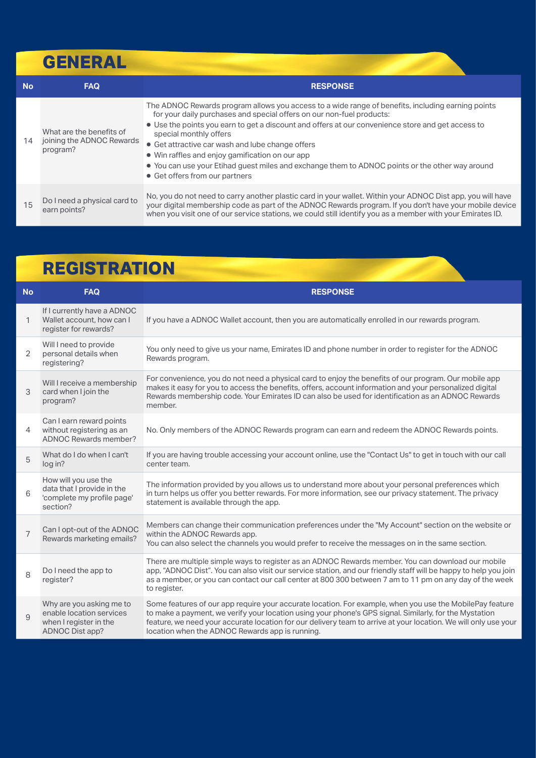## **GENERAL**

| <b>No</b> | <b>FAQ</b>                                                        | <b>RESPONSE</b>                                                                                                                                                                                                                                                                                                                                                                                                                                                                                                                                       |
|-----------|-------------------------------------------------------------------|-------------------------------------------------------------------------------------------------------------------------------------------------------------------------------------------------------------------------------------------------------------------------------------------------------------------------------------------------------------------------------------------------------------------------------------------------------------------------------------------------------------------------------------------------------|
| 14        | What are the benefits of<br>joining the ADNOC Rewards<br>program? | The ADNOC Rewards program allows you access to a wide range of benefits, including earning points<br>for your daily purchases and special offers on our non-fuel products:<br>• Use the points you earn to get a discount and offers at our convenience store and get access to<br>special monthly offers<br>• Get attractive car wash and lube change offers<br>• Win raffles and enjoy gamification on our app<br>• You can use your Etihad guest miles and exchange them to ADNOC points or the other way around<br>• Get offers from our partners |
| 15        | Do I need a physical card to<br>earn points?                      | No, you do not need to carry another plastic card in your wallet. Within your ADNOC Dist app, you will have<br>your digital membership code as part of the ADNOC Rewards program. If you don't have your mobile device<br>when you visit one of our service stations, we could still identify you as a member with your Emirates ID.                                                                                                                                                                                                                  |

# **REGISTRATION**

| <b>No</b>      | <b>FAQ</b>                                                                                        | <b>RESPONSE</b>                                                                                                                                                                                                                                                                                                                                                                          |
|----------------|---------------------------------------------------------------------------------------------------|------------------------------------------------------------------------------------------------------------------------------------------------------------------------------------------------------------------------------------------------------------------------------------------------------------------------------------------------------------------------------------------|
| $\mathbf{1}$   | If I currently have a ADNOC<br>Wallet account, how can I<br>register for rewards?                 | If you have a ADNOC Wallet account, then you are automatically enrolled in our rewards program.                                                                                                                                                                                                                                                                                          |
| 2              | Will I need to provide<br>personal details when<br>registering?                                   | You only need to give us your name, Emirates ID and phone number in order to register for the ADNOC<br>Rewards program.                                                                                                                                                                                                                                                                  |
| 3              | Will I receive a membership<br>card when I join the<br>program?                                   | For convenience, you do not need a physical card to enjoy the benefits of our program. Our mobile app<br>makes it easy for you to access the benefits, offers, account information and your personalized digital<br>Rewards membership code. Your Emirates ID can also be used for identification as an ADNOC Rewards<br>member.                                                         |
| 4              | Can I earn reward points<br>without registering as an<br>ADNOC Rewards member?                    | No. Only members of the ADNOC Rewards program can earn and redeem the ADNOC Rewards points.                                                                                                                                                                                                                                                                                              |
| 5              | What do I do when I can't<br>log in?                                                              | If you are having trouble accessing your account online, use the "Contact Us" to get in touch with our call<br>center team.                                                                                                                                                                                                                                                              |
| 6              | How will you use the<br>data that I provide in the<br>'complete my profile page'<br>section?      | The information provided by you allows us to understand more about your personal preferences which<br>in turn helps us offer you better rewards. For more information, see our privacy statement. The privacy<br>statement is available through the app.                                                                                                                                 |
| $\overline{7}$ | Can I opt-out of the ADNOC<br>Rewards marketing emails?                                           | Members can change their communication preferences under the "My Account" section on the website or<br>within the ADNOC Rewards app.<br>You can also select the channels you would prefer to receive the messages on in the same section.                                                                                                                                                |
| 8              | Do I need the app to<br>register?                                                                 | There are multiple simple ways to register as an ADNOC Rewards member. You can download our mobile<br>app, "ADNOC Dist". You can also visit our service station, and our friendly staff will be happy to help you join<br>as a member, or you can contact our call center at 800 300 between 7 am to 11 pm on any day of the week<br>to register.                                        |
| 9              | Why are you asking me to<br>enable location services<br>when I register in the<br>ADNOC Dist app? | Some features of our app require your accurate location. For example, when you use the MobilePay feature<br>to make a payment, we verify your location using your phone's GPS signal. Similarly, for the Mystation<br>feature, we need your accurate location for our delivery team to arrive at your location. We will only use your<br>location when the ADNOC Rewards app is running. |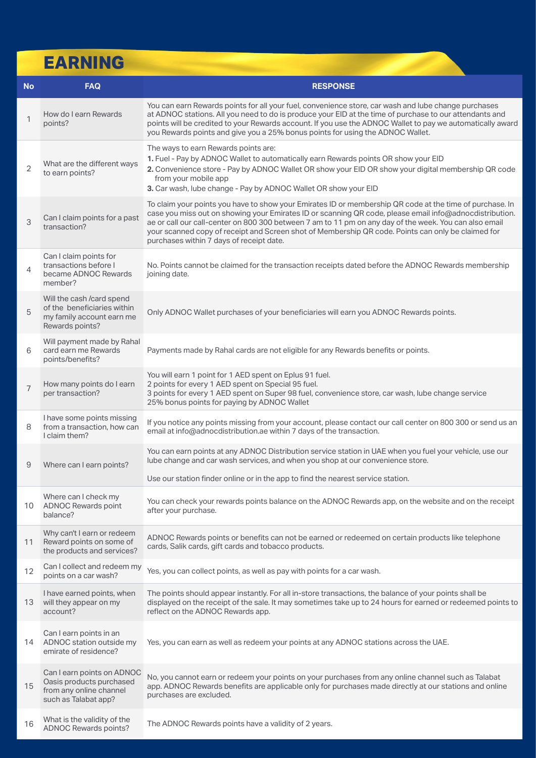## **EARNING**

| <b>No</b>      | <b>FAQ</b>                                                                                                | <b>RESPONSE</b>                                                                                                                                                                                                                                                                                                                                                                                                                                                                 |
|----------------|-----------------------------------------------------------------------------------------------------------|---------------------------------------------------------------------------------------------------------------------------------------------------------------------------------------------------------------------------------------------------------------------------------------------------------------------------------------------------------------------------------------------------------------------------------------------------------------------------------|
| 1              | How do I earn Rewards<br>points?                                                                          | You can earn Rewards points for all your fuel, convenience store, car wash and lube change purchases<br>at ADNOC stations. All you need to do is produce your EID at the time of purchase to our attendants and<br>points will be credited to your Rewards account. If you use the ADNOC Wallet to pay we automatically award<br>you Rewards points and give you a 25% bonus points for using the ADNOC Wallet.                                                                 |
| 2              | What are the different ways<br>to earn points?                                                            | The ways to earn Rewards points are:<br>1. Fuel - Pay by ADNOC Wallet to automatically earn Rewards points OR show your EID<br>2. Convenience store - Pay by ADNOC Wallet OR show your EID OR show your digital membership QR code<br>from your mobile app<br>3. Car wash, lube change - Pay by ADNOC Wallet OR show your EID                                                                                                                                                   |
| 3              | Can I claim points for a past<br>transaction?                                                             | To claim your points you have to show your Emirates ID or membership QR code at the time of purchase. In<br>case you miss out on showing your Emirates ID or scanning QR code, please email info@adnocdistribution.<br>ae or call our call-center on 800 300 between 7 am to 11 pm on any day of the week. You can also email<br>your scanned copy of receipt and Screen shot of Membership QR code. Points can only be claimed for<br>purchases within 7 days of receipt date. |
| 4              | Can I claim points for<br>transactions before I<br>became ADNOC Rewards<br>member?                        | No. Points cannot be claimed for the transaction receipts dated before the ADNOC Rewards membership<br>joining date.                                                                                                                                                                                                                                                                                                                                                            |
| 5              | Will the cash /card spend<br>of the beneficiaries within<br>my family account earn me<br>Rewards points?  | Only ADNOC Wallet purchases of your beneficiaries will earn you ADNOC Rewards points.                                                                                                                                                                                                                                                                                                                                                                                           |
| 6              | Will payment made by Rahal<br>card earn me Rewards<br>points/benefits?                                    | Payments made by Rahal cards are not eligible for any Rewards benefits or points.                                                                                                                                                                                                                                                                                                                                                                                               |
| $\overline{7}$ | How many points do I earn<br>per transaction?                                                             | You will earn 1 point for 1 AED spent on Eplus 91 fuel.<br>2 points for every 1 AED spent on Special 95 fuel.<br>3 points for every 1 AED spent on Super 98 fuel, convenience store, car wash, lube change service<br>25% bonus points for paying by ADNOC Wallet                                                                                                                                                                                                               |
| 8              | I have some points missing<br>from a transaction, how can<br>I claim them?                                | If you notice any points missing from your account, please contact our call center on 800 300 or send us an<br>email at info@adnocdistribution.ae within 7 days of the transaction.                                                                                                                                                                                                                                                                                             |
| 9              | Where can I earn points?                                                                                  | You can earn points at any ADNOC Distribution service station in UAE when you fuel your vehicle, use our<br>lube change and car wash services, and when you shop at our convenience store.<br>Use our station finder online or in the app to find the nearest service station.                                                                                                                                                                                                  |
| 10             | Where can I check my<br><b>ADNOC Rewards point</b><br>balance?                                            | You can check your rewards points balance on the ADNOC Rewards app, on the website and on the receipt<br>after your purchase.                                                                                                                                                                                                                                                                                                                                                   |
| 11             | Why can't I earn or redeem<br>Reward points on some of<br>the products and services?                      | ADNOC Rewards points or benefits can not be earned or redeemed on certain products like telephone<br>cards, Salik cards, gift cards and tobacco products.                                                                                                                                                                                                                                                                                                                       |
| 12             | Can I collect and redeem my<br>points on a car wash?                                                      | Yes, you can collect points, as well as pay with points for a car wash.                                                                                                                                                                                                                                                                                                                                                                                                         |
| 13             | I have earned points, when<br>will they appear on my<br>account?                                          | The points should appear instantly. For all in-store transactions, the balance of your points shall be<br>displayed on the receipt of the sale. It may sometimes take up to 24 hours for earned or redeemed points to<br>reflect on the ADNOC Rewards app.                                                                                                                                                                                                                      |
| 14             | Can I earn points in an<br>ADNOC station outside my<br>emirate of residence?                              | Yes, you can earn as well as redeem your points at any ADNOC stations across the UAE.                                                                                                                                                                                                                                                                                                                                                                                           |
| 15             | Can I earn points on ADNOC<br>Oasis products purchased<br>from any online channel<br>such as Talabat app? | No, you cannot earn or redeem your points on your purchases from any online channel such as Talabat<br>app. ADNOC Rewards benefits are applicable only for purchases made directly at our stations and online<br>purchases are excluded.                                                                                                                                                                                                                                        |
| 16             | What is the validity of the<br>ADNOC Rewards points?                                                      | The ADNOC Rewards points have a validity of 2 years.                                                                                                                                                                                                                                                                                                                                                                                                                            |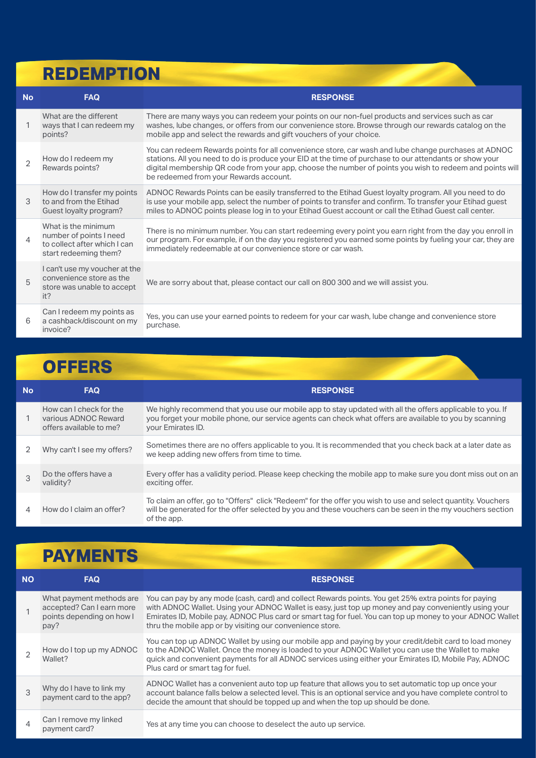#### **REDEMPTION**

| <b>No</b>      | <b>FAQ</b>                                                                                              | <b>RESPONSE</b>                                                                                                                                                                                                                                                                                                                                                       |
|----------------|---------------------------------------------------------------------------------------------------------|-----------------------------------------------------------------------------------------------------------------------------------------------------------------------------------------------------------------------------------------------------------------------------------------------------------------------------------------------------------------------|
|                | What are the different<br>ways that I can redeem my<br>points?                                          | There are many ways you can redeem your points on our non-fuel products and services such as car<br>washes, lube changes, or offers from our convenience store. Browse through our rewards catalog on the<br>mobile app and select the rewards and gift vouchers of your choice.                                                                                      |
| $\overline{2}$ | How do I redeem my<br>Rewards points?                                                                   | You can redeem Rewards points for all convenience store, car wash and lube change purchases at ADNOC<br>stations. All you need to do is produce your EID at the time of purchase to our attendants or show your<br>digital membership QR code from your app, choose the number of points you wish to redeem and points will<br>be redeemed from your Rewards account. |
| 3              | How do I transfer my points<br>to and from the Etihad<br>Guest loyalty program?                         | ADNOC Rewards Points can be easily transferred to the Etihad Guest loyalty program. All you need to do<br>is use your mobile app, select the number of points to transfer and confirm. To transfer your Etihad guest<br>miles to ADNOC points please log in to your Etihad Guest account or call the Etihad Guest call center.                                        |
| $\overline{4}$ | What is the minimum<br>number of points I need<br>to collect after which I can<br>start redeeming them? | There is no minimum number. You can start redeeming every point you earn right from the day you enroll in<br>our program. For example, if on the day you registered you earned some points by fueling your car, they are<br>immediately redeemable at our convenience store or car wash.                                                                              |
| 5              | I can't use my voucher at the<br>convenience store as the<br>store was unable to accept<br>it?          | We are sorry about that, please contact our call on 800 300 and we will assist you.                                                                                                                                                                                                                                                                                   |
| 6              | Can I redeem my points as<br>a cashback/discount on my<br>invoice?                                      | Yes, you can use your earned points to redeem for your car wash, lube change and convenience store<br>purchase.                                                                                                                                                                                                                                                       |

⋍

# **OFFERS**

| <b>No</b> | <b>FAQ</b>                                                                 | <b>RESPONSE</b>                                                                                                                                                                                                                           |
|-----------|----------------------------------------------------------------------------|-------------------------------------------------------------------------------------------------------------------------------------------------------------------------------------------------------------------------------------------|
|           | How can I check for the<br>various ADNOC Reward<br>offers available to me? | We highly recommend that you use our mobile app to stay updated with all the offers applicable to you. If<br>you forget your mobile phone, our service agents can check what offers are available to you by scanning<br>your Emirates ID. |
|           | Why can't I see my offers?                                                 | Sometimes there are no offers applicable to you. It is recommended that you check back at a later date as<br>we keep adding new offers from time to time.                                                                                 |
| 3         | Do the offers have a<br>validity?                                          | Every offer has a validity period. Please keep checking the mobile app to make sure you dont miss out on an<br>exciting offer.                                                                                                            |
| 4         | How do I claim an offer?                                                   | To claim an offer, go to "Offers" click "Redeem" for the offer you wish to use and select quantity. Vouchers<br>will be generated for the offer selected by you and these vouchers can be seen in the my vouchers section<br>of the app.  |

## **PAYMENTS**

| <b>NO</b> | <b>FAQ</b>                                                                                 | <b>RESPONSE</b>                                                                                                                                                                                                                                                                                                                                                                         |
|-----------|--------------------------------------------------------------------------------------------|-----------------------------------------------------------------------------------------------------------------------------------------------------------------------------------------------------------------------------------------------------------------------------------------------------------------------------------------------------------------------------------------|
|           | What payment methods are<br>accepted? Can I earn more<br>points depending on how I<br>pay? | You can pay by any mode (cash, card) and collect Rewards points. You get 25% extra points for paying<br>with ADNOC Wallet. Using your ADNOC Wallet is easy, just top up money and pay conveniently using your<br>Emirates ID, Mobile pay, ADNOC Plus card or smart tag for fuel. You can top up money to your ADNOC Wallet<br>thru the mobile app or by visiting our convenience store. |
|           | How do I top up my ADNOC<br>Wallet?                                                        | You can top up ADNOC Wallet by using our mobile app and paying by your credit/debit card to load money<br>to the ADNOC Wallet. Once the money is loaded to your ADNOC Wallet you can use the Wallet to make<br>guick and convenient payments for all ADNOC services using either your Emirates ID, Mobile Pay, ADNOC<br>Plus card or smart tag for fuel.                                |
| 3         | Why do I have to link my<br>payment card to the app?                                       | ADNOC Wallet has a convenient auto top up feature that allows you to set automatic top up once your<br>account balance falls below a selected level. This is an optional service and you have complete control to<br>decide the amount that should be topped up and when the top up should be done.                                                                                     |
|           | Can I remove my linked<br>payment card?                                                    | Yes at any time you can choose to deselect the auto up service.                                                                                                                                                                                                                                                                                                                         |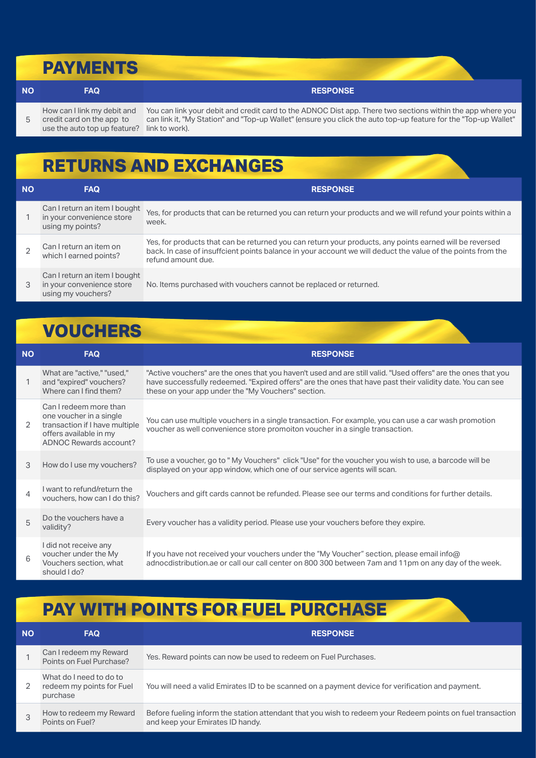## **PAYMENTS**

#### **RESPONSE FAQ NO**

5 credit card on the app to use the auto top up feature? link to work).

How can I link my debit and the vou can link your debit and credit card to the ADNOC Dist app. There two sections within the app where you can link it, "My Station" and "Top-up Wallet" (ensure you click the auto top-up feature for the "Top-up Wallet"

## **RETURNS AND EXCHANGES**

| <b>NO</b> | <b>FAQ</b>                                                                     | <b>RESPONSE</b>                                                                                                                                                                                                                              |
|-----------|--------------------------------------------------------------------------------|----------------------------------------------------------------------------------------------------------------------------------------------------------------------------------------------------------------------------------------------|
|           | Can I return an item I bought<br>in your convenience store<br>using my points? | Yes, for products that can be returned you can return your products and we will refund your points within a<br>week.                                                                                                                         |
|           | Can I return an item on<br>which I earned points?                              | Yes, for products that can be returned you can return your products, any points earned will be reversed<br>back. In case of insuffcient points balance in your account we will deduct the value of the points from the<br>refund amount due. |
|           | Can I return an item I bought<br>in your convenience store                     | No. Items purchased with vouchers cannot be replaced or returned.                                                                                                                                                                            |

# **VOUCHERS**

using my vouchers?

| <b>NO</b>      | <b>FAQ</b>                                                                                                                              | <b>RESPONSE</b>                                                                                                                                                                                                                                                                  |
|----------------|-----------------------------------------------------------------------------------------------------------------------------------------|----------------------------------------------------------------------------------------------------------------------------------------------------------------------------------------------------------------------------------------------------------------------------------|
|                | What are "active," "used,"<br>and "expired" vouchers?<br>Where can I find them?                                                         | "Active vouchers" are the ones that you haven't used and are still valid. "Used offers" are the ones that you<br>have successfully redeemed. "Expired offers" are the ones that have past their validity date. You can see<br>these on your app under the "My Vouchers" section. |
| 2              | Can I redeem more than<br>one voucher in a single<br>transaction if I have multiple<br>offers available in my<br>ADNOC Rewards account? | You can use multiple vouchers in a single transaction. For example, you can use a car wash promotion<br>voucher as well convenience store promoiton voucher in a single transaction.                                                                                             |
| 3              | How do I use my vouchers?                                                                                                               | To use a voucher, go to "My Vouchers" click "Use" for the voucher you wish to use, a barcode will be<br>displayed on your app window, which one of our service agents will scan.                                                                                                 |
| $\overline{4}$ | I want to refund/return the<br>vouchers, how can I do this?                                                                             | Vouchers and gift cards cannot be refunded. Please see our terms and conditions for further details.                                                                                                                                                                             |
| 5              | Do the vouchers have a<br>validity?                                                                                                     | Every voucher has a validity period. Please use your vouchers before they expire.                                                                                                                                                                                                |
| 6              | I did not receive any<br>voucher under the My<br>Vouchers section, what<br>should I do?                                                 | If you have not received your vouchers under the "My Voucher" section, please email info@<br>adnocdistribution.ae or call our call center on 800 300 between 7am and 11pm on any day of the week.                                                                                |

#### **PAY WITH POINTS FOR FUEL PURCHASE**

| <b>NO</b> | <b>FAQ</b>                                                       | <b>RESPONSE</b>                                                                                                                                |
|-----------|------------------------------------------------------------------|------------------------------------------------------------------------------------------------------------------------------------------------|
|           | Can I redeem my Reward<br>Points on Fuel Purchase?               | Yes. Reward points can now be used to redeem on Fuel Purchases.                                                                                |
|           | What do I need to do to<br>redeem my points for Fuel<br>purchase | You will need a valid Emirates ID to be scanned on a payment device for verification and payment.                                              |
|           | How to redeem my Reward<br>Points on Fuel?                       | Before fueling inform the station attendant that you wish to redeem your Redeem points on fuel transaction<br>and keep your Emirates ID handy. |